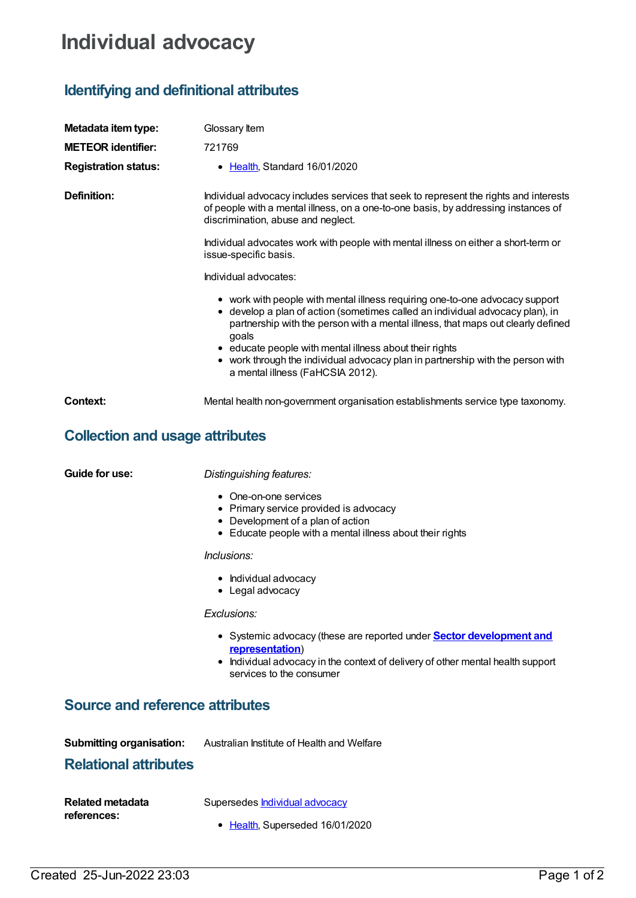## **Individual advocacy**

## **Identifying and definitional attributes**

| Metadata item type:                    | Glossary Item                                                                                                                                                                                                                                                                                                                                                                                                                                |
|----------------------------------------|----------------------------------------------------------------------------------------------------------------------------------------------------------------------------------------------------------------------------------------------------------------------------------------------------------------------------------------------------------------------------------------------------------------------------------------------|
| <b>METEOR identifier:</b>              | 721769                                                                                                                                                                                                                                                                                                                                                                                                                                       |
| <b>Registration status:</b>            | • Health, Standard 16/01/2020                                                                                                                                                                                                                                                                                                                                                                                                                |
| Definition:                            | Individual advocacy includes services that seek to represent the rights and interests<br>of people with a mental illness, on a one-to-one basis, by addressing instances of<br>discrimination, abuse and neglect.                                                                                                                                                                                                                            |
|                                        | Individual advocates work with people with mental illness on either a short-term or<br>issue-specific basis.                                                                                                                                                                                                                                                                                                                                 |
|                                        | Individual advocates:                                                                                                                                                                                                                                                                                                                                                                                                                        |
|                                        | • work with people with mental illness requiring one-to-one advocacy support<br>• develop a plan of action (sometimes called an individual advocacy plan), in<br>partnership with the person with a mental illness, that maps out clearly defined<br>goals<br>• educate people with mental illness about their rights<br>• work through the individual advocacy plan in partnership with the person with<br>a mental illness (FaHCSIA 2012). |
| <b>Context:</b>                        | Mental health non-government organisation establishments service type taxonomy.                                                                                                                                                                                                                                                                                                                                                              |
| <b>Collection and usage attributes</b> |                                                                                                                                                                                                                                                                                                                                                                                                                                              |
| Guide for use:                         | Distinguishing features:                                                                                                                                                                                                                                                                                                                                                                                                                     |
|                                        | • One-on-one services<br>• Primary service provided is advocacy<br>• Development of a plan of action<br>• Educate people with a mental illness about their rights                                                                                                                                                                                                                                                                            |
|                                        | Inclusions:                                                                                                                                                                                                                                                                                                                                                                                                                                  |
|                                        | • Individual advocacy<br>Legal advocacy                                                                                                                                                                                                                                                                                                                                                                                                      |
|                                        | Exclusions:                                                                                                                                                                                                                                                                                                                                                                                                                                  |
|                                        | • Systemic advocacy (these are reported under <b>Sector development and</b><br>representation)<br>• Individual advocacy in the context of delivery of other mental health support<br>services to the consumer                                                                                                                                                                                                                                |
| Source and reference attributes        |                                                                                                                                                                                                                                                                                                                                                                                                                                              |
| <b>Submitting organisation:</b>        | Australian Institute of Health and Welfare                                                                                                                                                                                                                                                                                                                                                                                                   |
| <b>Relational attributes</b>           |                                                                                                                                                                                                                                                                                                                                                                                                                                              |
| <b>Related metadata</b>                | Supersedes <b>Individual advocacy</b>                                                                                                                                                                                                                                                                                                                                                                                                        |

• [Health](https://meteor.aihw.gov.au/RegistrationAuthority/12), Superseded 16/01/2020

**references:**